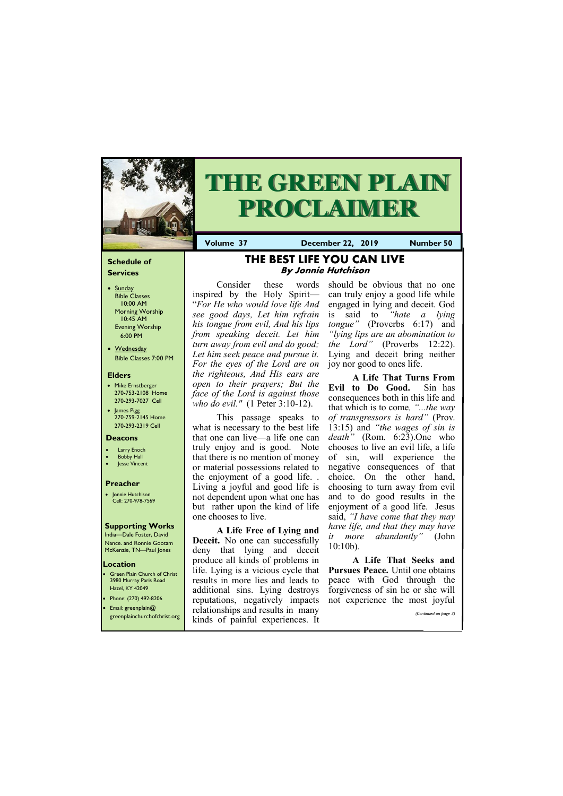#### **Schedule of Services**

- Sunday Bible Classes 10:00 AM Morning Worship 10:45 AM Evening Worship 6:00 PM
- Wednesday Bible Classes 7:00 PM

#### **Elders**

- Mike Ernstberger 270-753-2108 Home 270-293-7027 Cell
- James Pigg 270-759-2145 Home 270-293-2319 Cell



# **THE GREEN PLAIN PROCLAIMER**

## **Location**

• Green Plain Church of Christ 3980 Murray Paris Road Hazel, KY 42049 • Phone: (270) 492-8206

**Volume 37 December 22, 2019 Number 50**

#### **Deacons**

- **Larry Enoch**
- **Bobby Hall**
- **Jesse Vincent**

#### **Preacher**

• Jonnie Hutchison Cell: 270-978-7569

#### **Supporting Works**

India—Dale Foster, David Nance. and Ronnie Gootam McKenzie, TN—Paul Jones

## **THE BEST LIFE YOU CAN LIVE By Jonnie Hutchison**

Consider these words inspired by the Holy Spirit— "*For He who would love life And see good days, Let him refrain his tongue from evil, And his lips from speaking deceit. Let him turn away from evil and do good; Let him seek peace and pursue it. For the eyes of the Lord are on the righteous, And His ears are open to their prayers; But the face of the Lord is against those who do evil."* (1 Peter 3:10-12).

This passage speaks to what is necessary to the best life that one can live—a life one can truly enjoy and is good. Note that there is no mention of money or material possessions related to the enjoyment of a good life. . Living a joyful and good life is not dependent upon what one has but rather upon the kind of life one chooses to live.

| Email: greenplain@           | reparamently, hegain only impacts not experience the most popular<br>relationships and results in many |                       |
|------------------------------|--------------------------------------------------------------------------------------------------------|-----------------------|
| greenplainchurchofchrist.org | i kinds of painful experiences. It                                                                     | (Continued on page 3) |

**A Life Free of Lying and Deceit.** No one can successfully deny that lying and deceit produce all kinds of problems in life. Lying is a vicious cycle that results in more lies and leads to additional sins. Lying destroys reputations, negatively impacts

should be obvious that no one can truly enjoy a good life while engaged in lying and deceit. God is said to *"hate a lying tongue"* (Proverbs 6:17) and *"lying lips are an abomination to the Lord"* (Proverbs 12:22). Lying and deceit bring neither joy nor good to ones life.

**A Life That Turns From Evil to Do Good.** Sin has consequences both in this life and that which is to come*, "...the way of transgressors is hard"* (Prov. 13:15) and *"the wages of sin is death"* (Rom. 6:23).One who chooses to live an evil life, a life of sin, will experience the negative consequences of that choice. On the other hand, choosing to turn away from evil and to do good results in the enjoyment of a good life. Jesus said, *"I have come that they may have life, and that they may have it more abundantly"* (John 10:10b).

**A Life That Seeks and Pursues Peace.** Until one obtains peace with God through the forgiveness of sin he or she will not experience the most joyful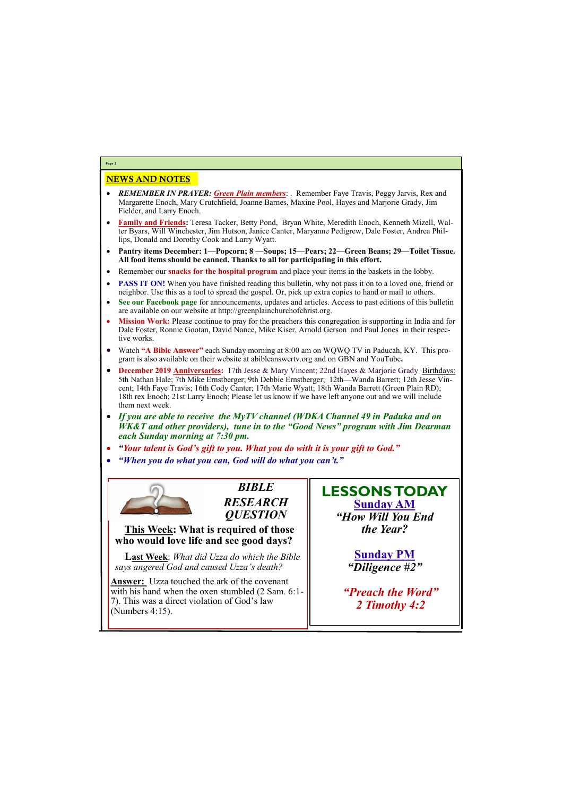## NEWS AND NOTES

- *REMEMBER IN PRAYER: Green Plain members*: . Remember Faye Travis, Peggy Jarvis, Rex and Margarette Enoch, Mary Crutchfield, Joanne Barnes, Maxine Pool, Hayes and Marjorie Grady, Jim Fielder, and Larry Enoch.
- **Family and Friends:** Teresa Tacker, Betty Pond, Bryan White, Meredith Enoch, Kenneth Mizell, Walter Byars, Will Winchester, Jim Hutson, Janice Canter, Maryanne Pedigrew, Dale Foster, Andrea Phillips, Donald and Dorothy Cook and Larry Wyatt.
- **Pantry items December: 1—Popcorn; 8 —Soups; 15—Pears; 22—Green Beans; 29—Toilet Tissue. All food items should be canned. Thanks to all for participating in this effort.**
- Remember our **snacks for the hospital program** and place your items in the baskets in the lobby.
- **PASS IT ON!** When you have finished reading this bulletin, why not pass it on to a loved one, friend or neighbor. Use this as a tool to spread the gospel. Or, pick up extra copies to hand or mail to others.
- **See our Facebook page** for announcements, updates and articles. Access to past editions of this bulletin are available on our website at http://greenplainchurchofchrist.org.
- **Mission Work:** Please continue to pray for the preachers this congregation is supporting in India and for Dale Foster, Ronnie Gootan, David Nance, Mike Kiser, Arnold Gerson and Paul Jones in their respective works.
- Watch **"A Bible Answer"** each Sunday morning at 8:00 am on WQWQ TV in Paducah, KY. This program is also available on their website at abibleanswertv.org and on GBN and YouTube**.**
- **December 2019 Anniversaries:** 17th Jesse & Mary Vincent; 22nd Hayes & Marjorie Grady Birthdays: 5th Nathan Hale; 7th Mike Ernstberger; 9th Debbie Ernstberger; 12th—Wanda Barrett; 12th Jesse Vincent; 14th Faye Travis; 16th Cody Canter; 17th Marie Wyatt; 18th Wanda Barrett (Green Plain RD); 18th rex Enoch; 21st Larry Enoch; Please let us know if we have left anyone out and we will include them next week.
- *If you are able to receive the MyTV channel (WDKA Channel 49 in Paduka and on WK&T and other providers), tune in to the "Good News" program with Jim Dearman each Sunday morning at 7:30 pm.*
- *"Your talent is God's gift to you. What you do with it is your gift to God."*
- *"When you do what you can, God will do what you can't."*



**Page 2**

*BIBLE RESEARCH QUESTION*

**This Week: What is required of those who would love life and see good days?**

**Last Week**: *What did Uzza do which the Bible says angered God and caused Uzza's death?*

**Answer:** Uzza touched the ark of the covenant with his hand when the oxen stumbled (2 Sam. 6:1-7). This was a direct violation of God's law (Numbers 4:15).

## **LESSONS TODAY Sunday AM**

*"How Will You End the Year?*

> **Sunday PM** *"Diligence #2"*

*"Preach the Word"*

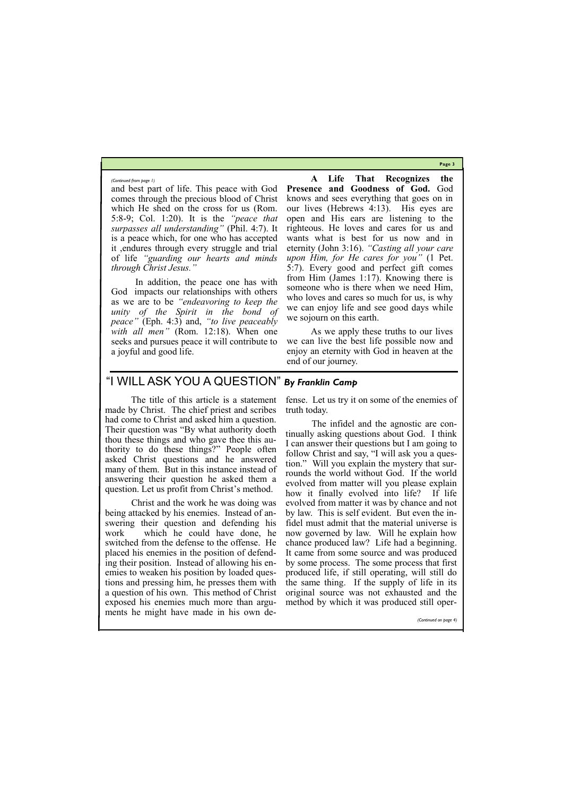**Page 3**

and best part of life. This peace with God comes through the precious blood of Christ which He shed on the cross for us (Rom. 5:8-9; Col. 1:20). It is the *"peace that surpasses all understanding"* (Phil. 4:7). It is a peace which, for one who has accepted it ,endures through every struggle and trial of life *"guarding our hearts and minds through Christ Jesus."* 

In addition, the peace one has with God impacts our relationships with others as we are to be *"endeavoring to keep the unity of the Spirit in the bond of peace"* (Eph. 4:3) and, *"to live peaceably with all men*<sup>"</sup> (Rom. 12:18). When one seeks and pursues peace it will contribute to a joyful and good life.

**A Life That Recognizes the Presence and Goodness of God.** God knows and sees everything that goes on in our lives (Hebrews 4:13). His eyes are open and His ears are listening to the righteous. He loves and cares for us and wants what is best for us now and in eternity (John 3:16). *"Casting all your care upon Him, for He cares for you"* (1 Pet. 5:7). Every good and perfect gift comes from Him (James 1:17). Knowing there is someone who is there when we need Him, who loves and cares so much for us, is why we can enjoy life and see good days while we sojourn on this earth.

As we apply these truths to our lives we can live the best life possible now and enjoy an eternity with God in heaven at the end of our journey.

*(Continued from page 1)*

## "I WILL ASK YOU A QUESTION" *By Franklin Camp*

 The title of this article is a statement made by Christ. The chief priest and scribes had come to Christ and asked him a question. Their question was "By what authority doeth thou these things and who gave thee this authority to do these things?" People often asked Christ questions and he answered many of them. But in this instance instead of answering their question he asked them a question. Let us profit from Christ's method.

 Christ and the work he was doing was being attacked by his enemies. Instead of answering their question and defending his work which he could have done, he switched from the defense to the offense. He placed his enemies in the position of defending their position. Instead of allowing his enemies to weaken his position by loaded questions and pressing him, he presses them with a question of his own. This method of Christ

exposed his enemies much more than argu-method by which it was produced still oper ments he might have made in his own de-

fense. Let us try it on some of the enemies of truth today.

 The infidel and the agnostic are continually asking questions about God. I think I can answer their questions but I am going to follow Christ and say, "I will ask you a question." Will you explain the mystery that surrounds the world without God. If the world evolved from matter will you please explain how it finally evolved into life? If life evolved from matter it was by chance and not by law. This is self evident. But even the infidel must admit that the material universe is now governed by law. Will he explain how chance produced law? Life had a beginning. It came from some source and was produced by some process. The some process that first produced life, if still operating, will still do the same thing. If the supply of life in its original source was not exhausted and the

*(Continued on page 4)*